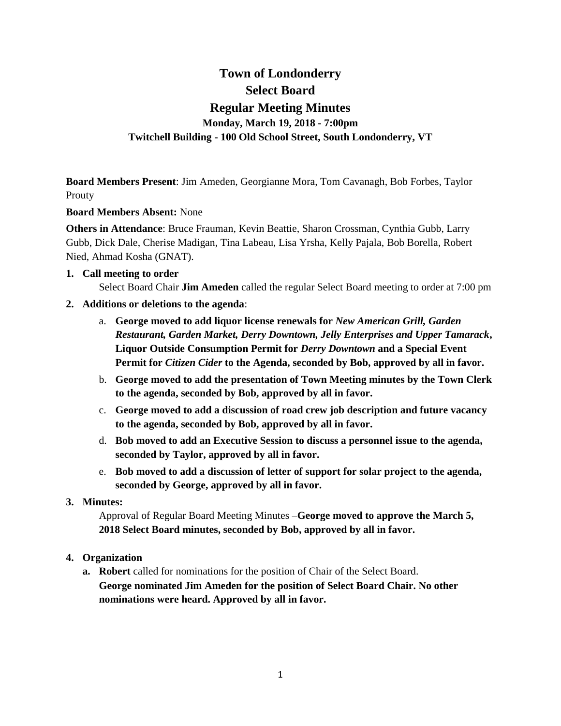# **Town of Londonderry Select Board Regular Meeting Minutes Monday, March 19, 2018 - 7:00pm Twitchell Building - 100 Old School Street, South Londonderry, VT**

**Board Members Present**: Jim Ameden, Georgianne Mora, Tom Cavanagh, Bob Forbes, Taylor Prouty

#### **Board Members Absent:** None

**Others in Attendance**: Bruce Frauman, Kevin Beattie, Sharon Crossman, Cynthia Gubb, Larry Gubb, Dick Dale, Cherise Madigan, Tina Labeau, Lisa Yrsha, Kelly Pajala, Bob Borella, Robert Nied, Ahmad Kosha (GNAT).

#### **1. Call meeting to order**

Select Board Chair **Jim Ameden** called the regular Select Board meeting to order at 7:00 pm

- **2. Additions or deletions to the agenda**:
	- a. **George moved to add liquor license renewals for** *New American Grill, Garden Restaurant, Garden Market, Derry Downtown, Jelly Enterprises and Upper Tamarack***, Liquor Outside Consumption Permit for** *Derry Downtown* **and a Special Event Permit for** *Citizen Cider* **to the Agenda, seconded by Bob, approved by all in favor.**
	- b. **George moved to add the presentation of Town Meeting minutes by the Town Clerk to the agenda, seconded by Bob, approved by all in favor.**
	- c. **George moved to add a discussion of road crew job description and future vacancy to the agenda, seconded by Bob, approved by all in favor.**
	- d. **Bob moved to add an Executive Session to discuss a personnel issue to the agenda, seconded by Taylor, approved by all in favor.**
	- e. **Bob moved to add a discussion of letter of support for solar project to the agenda, seconded by George, approved by all in favor.**

#### **3. Minutes:**

Approval of Regular Board Meeting Minutes –**George moved to approve the March 5, 2018 Select Board minutes, seconded by Bob, approved by all in favor.** 

# **4. Organization**

**a. Robert** called for nominations for the position of Chair of the Select Board. **George nominated Jim Ameden for the position of Select Board Chair. No other nominations were heard. Approved by all in favor.**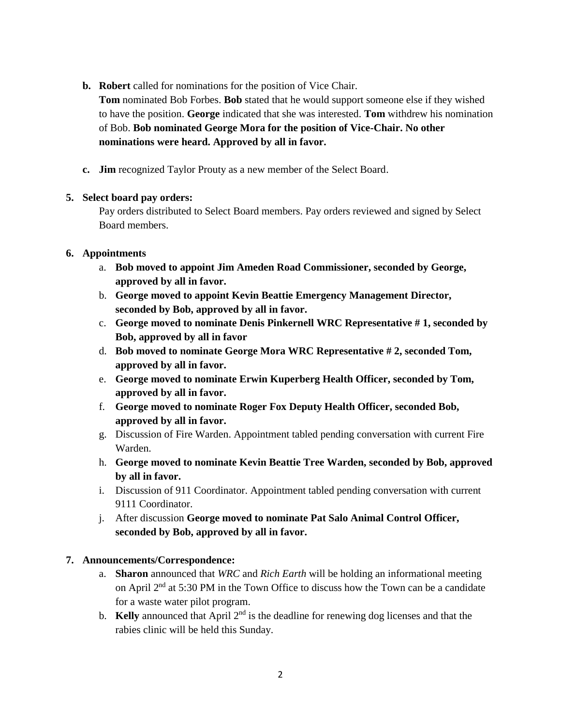**b. Robert** called for nominations for the position of Vice Chair.

**Tom** nominated Bob Forbes. **Bob** stated that he would support someone else if they wished to have the position. **George** indicated that she was interested. **Tom** withdrew his nomination of Bob. **Bob nominated George Mora for the position of Vice-Chair. No other nominations were heard. Approved by all in favor.**

**c. Jim** recognized Taylor Prouty as a new member of the Select Board.

# **5. Select board pay orders:**

Pay orders distributed to Select Board members. Pay orders reviewed and signed by Select Board members.

# **6. Appointments**

- a. **Bob moved to appoint Jim Ameden Road Commissioner, seconded by George, approved by all in favor.**
- b. **George moved to appoint Kevin Beattie Emergency Management Director, seconded by Bob, approved by all in favor.**
- c. **George moved to nominate Denis Pinkernell WRC Representative # 1, seconded by Bob, approved by all in favor**
- d. **Bob moved to nominate George Mora WRC Representative # 2, seconded Tom, approved by all in favor.**
- e. **George moved to nominate Erwin Kuperberg Health Officer, seconded by Tom, approved by all in favor.**
- f. **George moved to nominate Roger Fox Deputy Health Officer, seconded Bob, approved by all in favor.**
- g. Discussion of Fire Warden. Appointment tabled pending conversation with current Fire Warden.
- h. **George moved to nominate Kevin Beattie Tree Warden, seconded by Bob, approved by all in favor.**
- i. Discussion of 911 Coordinator. Appointment tabled pending conversation with current 9111 Coordinator.
- j. After discussion **George moved to nominate Pat Salo Animal Control Officer, seconded by Bob, approved by all in favor.**

# **7. Announcements/Correspondence:**

- a. **Sharon** announced that *WRC* and *Rich Earth* will be holding an informational meeting on April 2nd at 5:30 PM in the Town Office to discuss how the Town can be a candidate for a waste water pilot program.
- b. **Kelly** announced that April 2<sup>nd</sup> is the deadline for renewing dog licenses and that the rabies clinic will be held this Sunday.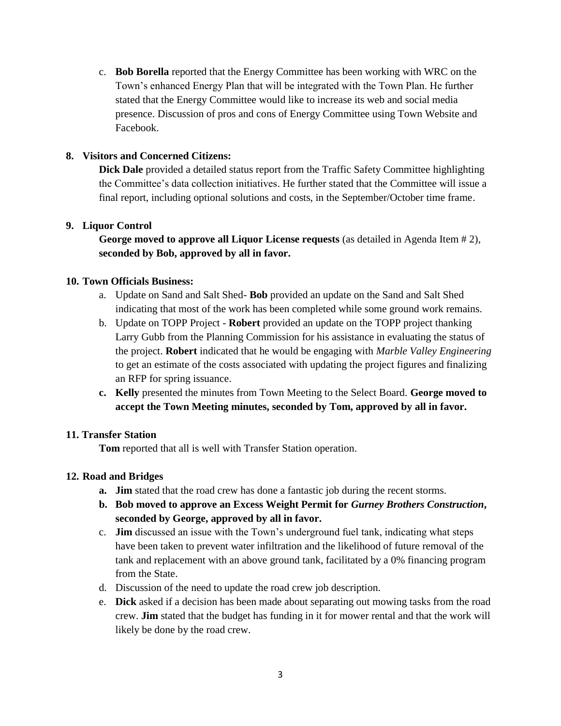c. **Bob Borella** reported that the Energy Committee has been working with WRC on the Town's enhanced Energy Plan that will be integrated with the Town Plan. He further stated that the Energy Committee would like to increase its web and social media presence. Discussion of pros and cons of Energy Committee using Town Website and Facebook.

# **8. Visitors and Concerned Citizens:**

**Dick Dale** provided a detailed status report from the Traffic Safety Committee highlighting the Committee's data collection initiatives. He further stated that the Committee will issue a final report, including optional solutions and costs, in the September/October time frame.

# **9. Liquor Control**

**George moved to approve all Liquor License requests** (as detailed in Agenda Item # 2), **seconded by Bob, approved by all in favor.**

# **10. Town Officials Business:**

- a. Update on Sand and Salt Shed- **Bob** provided an update on the Sand and Salt Shed indicating that most of the work has been completed while some ground work remains.
- b. Update on TOPP Project **Robert** provided an update on the TOPP project thanking Larry Gubb from the Planning Commission for his assistance in evaluating the status of the project. **Robert** indicated that he would be engaging with *Marble Valley Engineering* to get an estimate of the costs associated with updating the project figures and finalizing an RFP for spring issuance.
- **c. Kelly** presented the minutes from Town Meeting to the Select Board. **George moved to accept the Town Meeting minutes, seconded by Tom, approved by all in favor.**

# **11. Transfer Station**

**Tom** reported that all is well with Transfer Station operation.

# **12. Road and Bridges**

- **a. Jim** stated that the road crew has done a fantastic job during the recent storms.
- **b. Bob moved to approve an Excess Weight Permit for** *Gurney Brothers Construction***, seconded by George, approved by all in favor.**
- c. **Jim** discussed an issue with the Town's underground fuel tank, indicating what steps have been taken to prevent water infiltration and the likelihood of future removal of the tank and replacement with an above ground tank, facilitated by a 0% financing program from the State.
- d. Discussion of the need to update the road crew job description.
- e. **Dick** asked if a decision has been made about separating out mowing tasks from the road crew. **Jim** stated that the budget has funding in it for mower rental and that the work will likely be done by the road crew.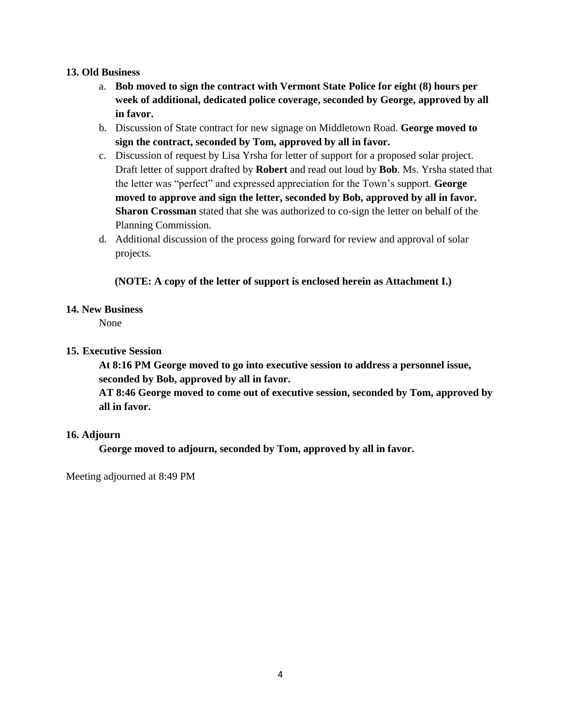#### **13. Old Business**

- a. **Bob moved to sign the contract with Vermont State Police for eight (8) hours per week of additional, dedicated police coverage, seconded by George, approved by all in favor.**
- b. Discussion of State contract for new signage on Middletown Road. **George moved to sign the contract, seconded by Tom, approved by all in favor.**
- c. Discussion of request by Lisa Yrsha for letter of support for a proposed solar project. Draft letter of support drafted by **Robert** and read out loud by **Bob**. Ms. Yrsha stated that the letter was "perfect" and expressed appreciation for the Town's support. **George moved to approve and sign the letter, seconded by Bob, approved by all in favor. Sharon Crossman** stated that she was authorized to co-sign the letter on behalf of the Planning Commission.
- d. Additional discussion of the process going forward for review and approval of solar projects.

#### **(NOTE: A copy of the letter of support is enclosed herein as Attachment I.)**

#### **14. New Business**

None

#### **15. Executive Session**

**At 8:16 PM George moved to go into executive session to address a personnel issue, seconded by Bob, approved by all in favor.**

**AT 8:46 George moved to come out of executive session, seconded by Tom, approved by all in favor.**

#### **16. Adjourn**

**George moved to adjourn, seconded by Tom, approved by all in favor.** 

Meeting adjourned at 8:49 PM